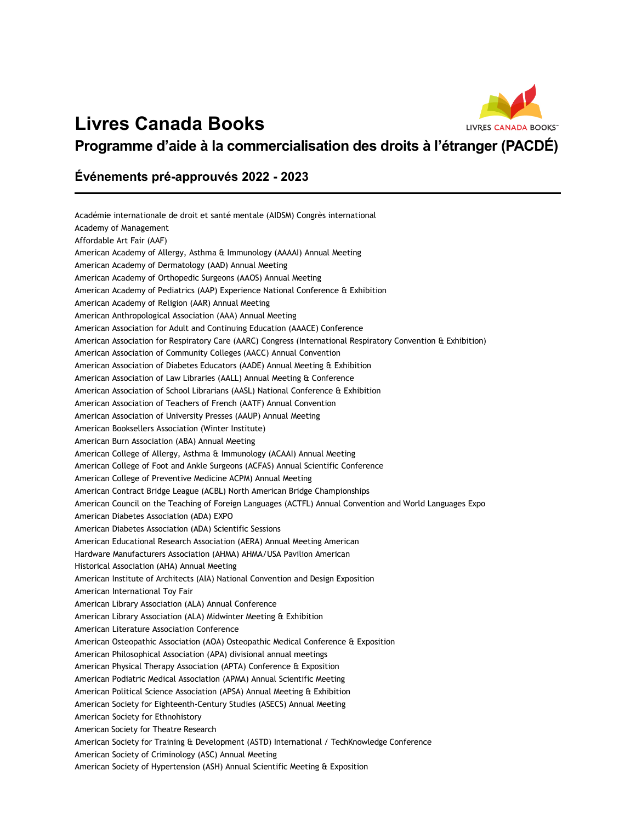## **Livres Canada Books**



**Programme d'aide à la commercialisation des droits à l'étranger (PACDÉ)**

## **Événements pré-approuvés 2022 - 2023**

| Académie internationale de droit et santé mentale (AIDSM) Congrès international                               |
|---------------------------------------------------------------------------------------------------------------|
| Academy of Management                                                                                         |
| Affordable Art Fair (AAF)                                                                                     |
| American Academy of Allergy, Asthma & Immunology (AAAAI) Annual Meeting                                       |
| American Academy of Dermatology (AAD) Annual Meeting                                                          |
| American Academy of Orthopedic Surgeons (AAOS) Annual Meeting                                                 |
| American Academy of Pediatrics (AAP) Experience National Conference & Exhibition                              |
| American Academy of Religion (AAR) Annual Meeting                                                             |
| American Anthropological Association (AAA) Annual Meeting                                                     |
| American Association for Adult and Continuing Education (AAACE) Conference                                    |
| American Association for Respiratory Care (AARC) Congress (International Respiratory Convention & Exhibition) |
| American Association of Community Colleges (AACC) Annual Convention                                           |
| American Association of Diabetes Educators (AADE) Annual Meeting & Exhibition                                 |
| American Association of Law Libraries (AALL) Annual Meeting & Conference                                      |
| American Association of School Librarians (AASL) National Conference & Exhibition                             |
| American Association of Teachers of French (AATF) Annual Convention                                           |
| American Association of University Presses (AAUP) Annual Meeting                                              |
| American Booksellers Association (Winter Institute)                                                           |
| American Burn Association (ABA) Annual Meeting                                                                |
| American College of Allergy, Asthma & Immunology (ACAAI) Annual Meeting                                       |
| American College of Foot and Ankle Surgeons (ACFAS) Annual Scientific Conference                              |
| American College of Preventive Medicine ACPM) Annual Meeting                                                  |
| American Contract Bridge League (ACBL) North American Bridge Championships                                    |
| American Council on the Teaching of Foreign Languages (ACTFL) Annual Convention and World Languages Expo      |
| American Diabetes Association (ADA) EXPO                                                                      |
| American Diabetes Association (ADA) Scientific Sessions                                                       |
| American Educational Research Association (AERA) Annual Meeting American                                      |
| Hardware Manufacturers Association (AHMA) AHMA/USA Pavilion American                                          |
| Historical Association (AHA) Annual Meeting                                                                   |
| American Institute of Architects (AIA) National Convention and Design Exposition                              |
| American International Toy Fair                                                                               |
| American Library Association (ALA) Annual Conference                                                          |
| American Library Association (ALA) Midwinter Meeting & Exhibition                                             |
| American Literature Association Conference                                                                    |
| American Osteopathic Association (AOA) Osteopathic Medical Conference & Exposition                            |
| American Philosophical Association (APA) divisional annual meetings                                           |
| American Physical Therapy Association (APTA) Conference & Exposition                                          |
| American Podiatric Medical Association (APMA) Annual Scientific Meeting                                       |
| American Political Science Association (APSA) Annual Meeting & Exhibition                                     |
| American Society for Eighteenth-Century Studies (ASECS) Annual Meeting                                        |
| American Society for Ethnohistory                                                                             |
| American Society for Theatre Research                                                                         |
| American Society for Training & Development (ASTD) International / TechKnowledge Conference                   |
| American Society of Criminology (ASC) Annual Meeting                                                          |
| American Society of Hypertension (ASH) Annual Scientific Meeting & Exposition                                 |
|                                                                                                               |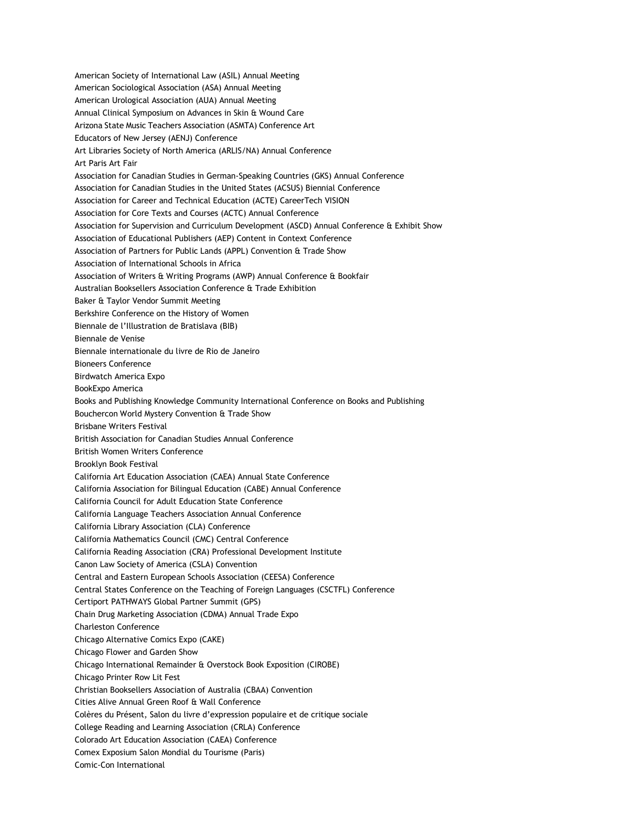American Society of International Law (ASIL) Annual Meeting American Sociological Association (ASA) Annual Meeting American Urological Association (AUA) Annual Meeting Annual Clinical Symposium on Advances in Skin & Wound Care Arizona State Music Teachers Association (ASMTA) Conference Art Educators of New Jersey (AENJ) Conference Art Libraries Society of North America (ARLIS/NA) Annual Conference Art Paris Art Fair Association for Canadian Studies in German-Speaking Countries (GKS) Annual Conference Association for Canadian Studies in the United States (ACSUS) Biennial Conference Association for Career and Technical Education (ACTE) CareerTech VISION Association for Core Texts and Courses (ACTC) Annual Conference Association for Supervision and Curriculum Development (ASCD) Annual Conference & Exhibit Show Association of Educational Publishers (AEP) Content in Context Conference Association of Partners for Public Lands (APPL) Convention & Trade Show Association of International Schools in Africa Association of Writers & Writing Programs (AWP) Annual Conference & Bookfair Australian Booksellers Association Conference & Trade Exhibition Baker & Taylor Vendor Summit Meeting Berkshire Conference on the History of Women Biennale de l'Illustration de Bratislava (BIB) Biennale de Venise Biennale internationale du livre de Rio de Janeiro Bioneers Conference Birdwatch America Expo BookExpo America Books and Publishing Knowledge Community International Conference on Books and Publishing Bouchercon World Mystery Convention & Trade Show Brisbane Writers Festival British Association for Canadian Studies Annual Conference British Women Writers Conference Brooklyn Book Festival California Art Education Association (CAEA) Annual State Conference California Association for Bilingual Education (CABE) Annual Conference California Council for Adult Education State Conference California Language Teachers Association Annual Conference California Library Association (CLA) Conference California Mathematics Council (CMC) Central Conference California Reading Association (CRA) Professional Development Institute Canon Law Society of America (CSLA) Convention Central and Eastern European Schools Association (CEESA) Conference Central States Conference on the Teaching of Foreign Languages (CSCTFL) Conference Certiport PATHWAYS Global Partner Summit (GPS) Chain Drug Marketing Association (CDMA) Annual Trade Expo Charleston Conference Chicago Alternative Comics Expo (CAKE) Chicago Flower and Garden Show Chicago International Remainder & Overstock Book Exposition (CIROBE) Chicago Printer Row Lit Fest Christian Booksellers Association of Australia (CBAA) Convention Cities Alive Annual Green Roof & Wall Conference Colères du Présent, Salon du livre d'expression populaire et de critique sociale College Reading and Learning Association (CRLA) Conference Colorado Art Education Association (CAEA) Conference Comex Exposium Salon Mondial du Tourisme (Paris) Comic-Con International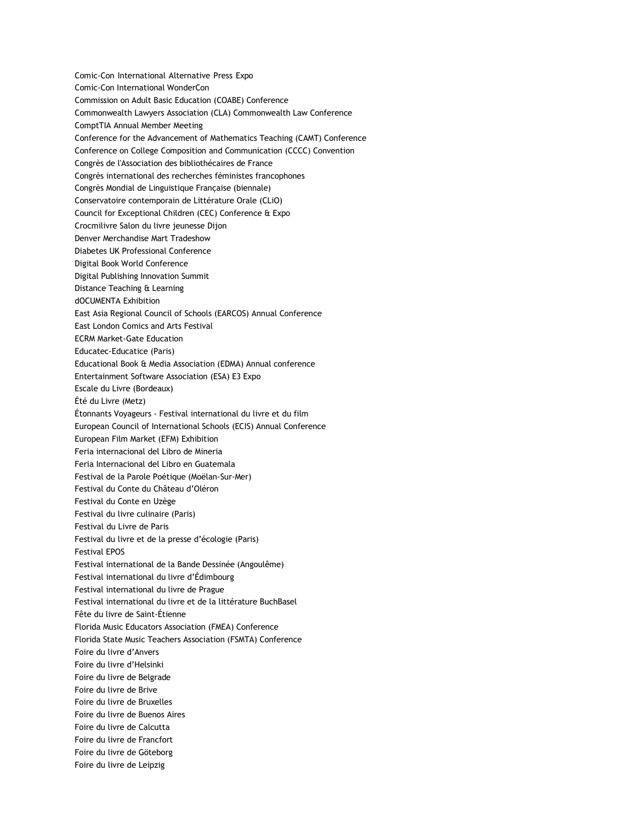Comic-Con International Alternative Press Expo Comic-Con International WonderCon Commission on Adult Basic Education (COABE) Conference Commonwealth Lawyers Association (CLA) Commonwealth Law Conference ComptTIA Annual Member Meeting Conference for the Advancement of Mathematics Teaching (CAMT) Conference Conference on College Composition and Communication (CCCC) Convention Congrès de l'Association des bibliothécaires de France Congrès international des recherches féministes francophones Congrès Mondial de Linguistique Française (biennale) Conservatoire contemporain de Littérature Orale (CLiO) Council for Exceptional Children (CEC) Conference & Expo Crocmilivre Salon du livre jeunesse Dijon Denver Merchandise Mart Tradeshow Diabetes UK Professional Conference Digital Book World Conference Digital Publishing Innovation Summit Distance Teaching & Learning dOCUMENTA Exhibition East Asia Regional Council of Schools (EARCOS) Annual Conference East London Comics and Arts Festival ECRM Market-Gate Education Educatec-Educatice (Paris) Educational Book & Media Association (EDMA) Annual conference Entertainment Software Association (ESA) E3 Expo Escale du Livre (Bordeaux) Été du Livre (Metz) Étonnants Voyageurs - Festival international du livre et du film European Council of International Schools (ECIS) Annual Conference European Film Market (EFM) Exhibition Feria internacional del Libro de Mineria Feria Internacional del Libro en Guatemala Festival de la Parole Poétique (Moëlan-Sur-Mer) Festival du Conte du Château d'Oléron Festival du Conte en Uzège Festival du livre culinaire (Paris) Festival du Livre de Paris Festival du livre et de la presse d'écologie (Paris) Festival EPOS Festival international de la Bande Dessinée (Angoulême) Festival international du livre d'Édimbourg Festival international du livre de Prague Festival international du livre et de la littérature BuchBasel Fête du livre de Saint-Étienne Florida Music Educators Association (FMEA) Conference Florida State Music Teachers Association (FSMTA) Conference Foire du livre d'Anvers Foire du livre d'Helsinki Foire du livre de Belgrade Foire du livre de Brive Foire du livre de Bruxelles Foire du livre de Buenos Aires Foire du livre de Calcutta Foire du livre de Francfort Foire du livre de Göteborg Foire du livre de Leipzig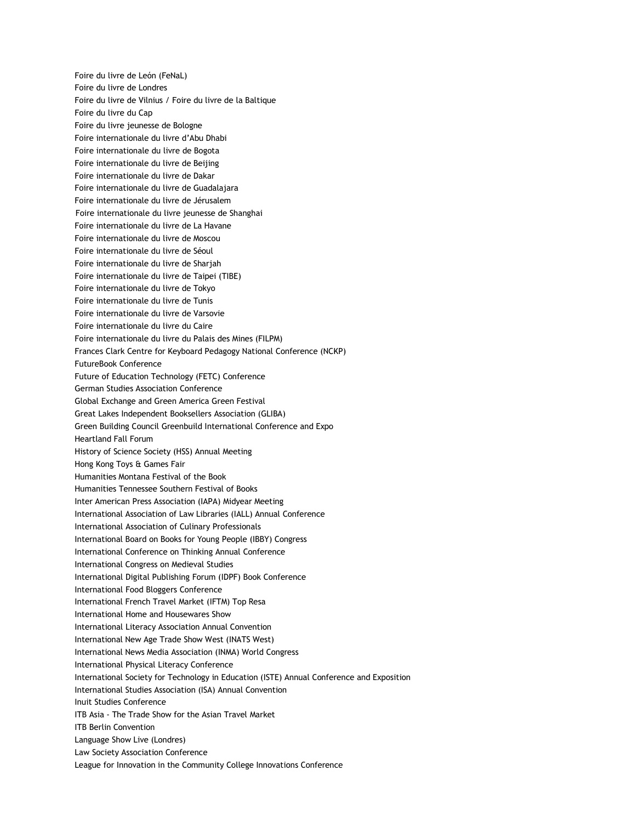Foire du livre de León (FeNaL) Foire du livre de Londres Foire du livre de Vilnius / Foire du livre de la Baltique Foire du livre du Cap Foire du livre jeunesse de Bologne Foire internationale du livre d'Abu Dhabi Foire internationale du livre de Bogota Foire internationale du livre de Beijing Foire internationale du livre de Dakar Foire internationale du livre de Guadalajara Foire internationale du livre de Jérusalem Foire internationale du livre jeunesse de Shanghai Foire internationale du livre de La Havane Foire internationale du livre de Moscou Foire internationale du livre de Séoul Foire internationale du livre de Sharjah Foire internationale du livre de Taipei (TIBE) Foire internationale du livre de Tokyo Foire internationale du livre de Tunis Foire internationale du livre de Varsovie Foire internationale du livre du Caire Foire internationale du livre du Palais des Mines (FILPM) Frances Clark Centre for Keyboard Pedagogy National Conference (NCKP) FutureBook Conference Future of Education Technology (FETC) Conference German Studies Association Conference Global Exchange and Green America Green Festival Great Lakes Independent Booksellers Association (GLIBA) Green Building Council Greenbuild International Conference and Expo Heartland Fall Forum History of Science Society (HSS) Annual Meeting Hong Kong Toys & Games Fair Humanities Montana Festival of the Book Humanities Tennessee Southern Festival of Books Inter American Press Association (IAPA) Midyear Meeting International Association of Law Libraries (IALL) Annual Conference International Association of Culinary Professionals International Board on Books for Young People (IBBY) Congress International Conference on Thinking Annual Conference International Congress on Medieval Studies International Digital Publishing Forum (IDPF) Book Conference International Food Bloggers Conference International French Travel Market (IFTM) Top Resa International Home and Housewares Show International Literacy Association Annual Convention International New Age Trade Show West (INATS West) International News Media Association (INMA) World Congress International Physical Literacy Conference International Society for Technology in Education (ISTE) Annual Conference and Exposition International Studies Association (ISA) Annual Convention Inuit Studies Conference ITB Asia - The Trade Show for the Asian Travel Market ITB Berlin Convention Language Show Live (Londres) Law Society Association Conference League for Innovation in the Community College Innovations Conference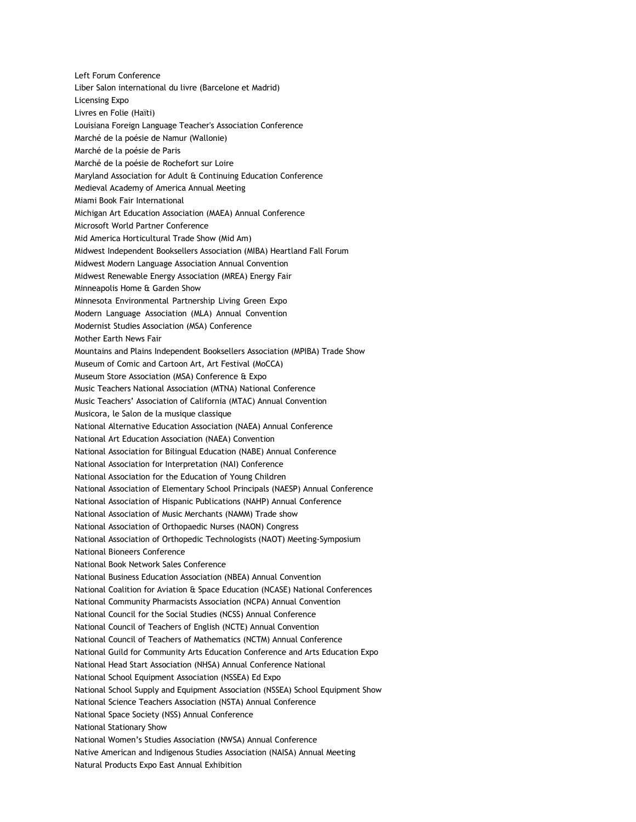Left Forum Conference Liber Salon international du livre (Barcelone et Madrid) Licensing Expo Livres en Folie (Haïti) Louisiana Foreign Language Teacher's Association Conference Marché de la poésie de Namur (Wallonie) Marché de la poésie de Paris Marché de la poésie de Rochefort sur Loire Maryland Association for Adult & Continuing Education Conference Medieval Academy of America Annual Meeting Miami Book Fair International Michigan Art Education Association (MAEA) Annual Conference Microsoft World Partner Conference Mid America Horticultural Trade Show (Mid Am) Midwest Independent Booksellers Association (MIBA) Heartland Fall Forum Midwest Modern Language Association Annual Convention Midwest Renewable Energy Association (MREA) Energy Fair Minneapolis Home & Garden Show Minnesota Environmental Partnership Living Green Expo Modern Language Association (MLA) Annual Convention Modernist Studies Association (MSA) Conference Mother Earth News Fair Mountains and Plains Independent Booksellers Association (MPIBA) Trade Show Museum of Comic and Cartoon Art, Art Festival (MoCCA) Museum Store Association (MSA) Conference & Expo Music Teachers National Association (MTNA) National Conference Music Teachers' Association of California (MTAC) Annual Convention Musicora, le Salon de la musique classique National Alternative Education Association (NAEA) Annual Conference National Art Education Association (NAEA) Convention National Association for Bilingual Education (NABE) Annual Conference National Association for Interpretation (NAI) Conference National Association for the Education of Young Children National Association of Elementary School Principals (NAESP) Annual Conference National Association of Hispanic Publications (NAHP) Annual Conference National Association of Music Merchants (NAMM) Trade show National Association of Orthopaedic Nurses (NAON) Congress National Association of Orthopedic Technologists (NAOT) Meeting-Symposium National Bioneers Conference National Book Network Sales Conference National Business Education Association (NBEA) Annual Convention National Coalition for Aviation & Space Education (NCASE) National Conferences National Community Pharmacists Association (NCPA) Annual Convention National Council for the Social Studies (NCSS) Annual Conference National Council of Teachers of English (NCTE) Annual Convention National Council of Teachers of Mathematics (NCTM) Annual Conference National Guild for Community Arts Education Conference and Arts Education Expo National Head Start Association (NHSA) Annual Conference National National School Equipment Association (NSSEA) Ed Expo National School Supply and Equipment Association (NSSEA) School Equipment Show National Science Teachers Association (NSTA) Annual Conference National Space Society (NSS) Annual Conference National Stationary Show National Women's Studies Association (NWSA) Annual Conference Native American and Indigenous Studies Association (NAISA) Annual Meeting Natural Products Expo East Annual Exhibition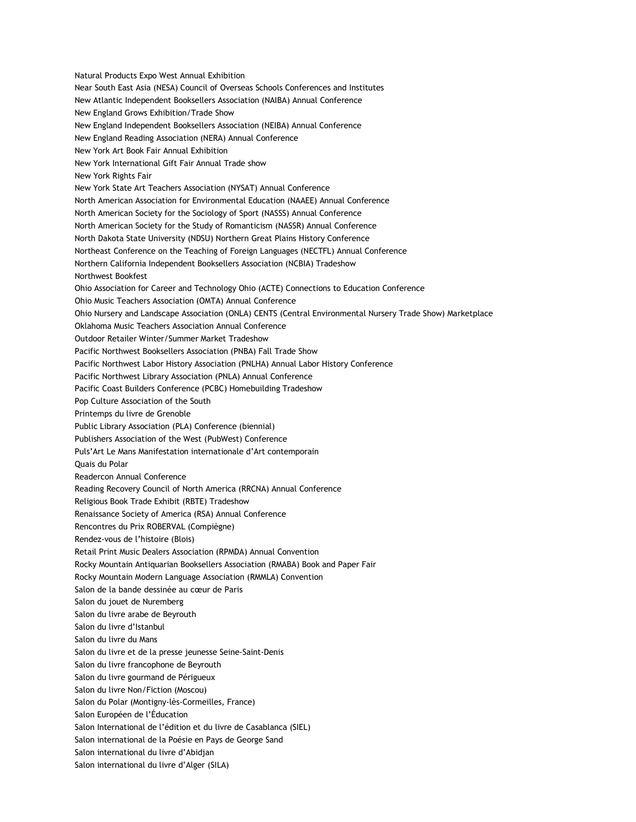Natural Products Expo West Annual Exhibition Near South East Asia (NESA) Council of Overseas Schools Conferences and Institutes New Atlantic Independent Booksellers Association (NAIBA) Annual Conference New England Grows Exhibition/Trade Show New England Independent Booksellers Association (NEIBA) Annual Conference New England Reading Association (NERA) Annual Conference New York Art Book Fair Annual Exhibition New York International Gift Fair Annual Trade show New York Rights Fair New York State Art Teachers Association (NYSAT) Annual Conference North American Association for Environmental Education (NAAEE) Annual Conference North American Society for the Sociology of Sport (NASSS) Annual Conference North American Society for the Study of Romanticism (NASSR) Annual Conference North Dakota State University (NDSU) Northern Great Plains History Conference Northeast Conference on the Teaching of Foreign Languages (NECTFL) Annual Conference Northern California Independent Booksellers Association (NCBIA) Tradeshow Northwest Bookfest Ohio Association for Career and Technology Ohio (ACTE) Connections to Education Conference Ohio Music Teachers Association (OMTA) Annual Conference Ohio Nursery and Landscape Association (ONLA) CENTS (Central Environmental Nursery Trade Show) Marketplace Oklahoma Music Teachers Association Annual Conference Outdoor Retailer Winter/Summer Market Tradeshow Pacific Northwest Booksellers Association (PNBA) Fall Trade Show Pacific Northwest Labor History Association (PNLHA) Annual Labor History Conference Pacific Northwest Library Association (PNLA) Annual Conference Pacific Coast Builders Conference (PCBC) Homebuilding Tradeshow Pop Culture Association of the South Printemps du livre de Grenoble Public Library Association (PLA) Conference (biennial) Publishers Association of the West (PubWest) Conference Puls'Art Le Mans Manifestation internationale d'Art contemporain Quais du Polar Readercon Annual Conference Reading Recovery Council of North America (RRCNA) Annual Conference Religious Book Trade Exhibit (RBTE) Tradeshow Renaissance Society of America (RSA) Annual Conference Rencontres du Prix ROBERVAL (Compiègne) Rendez-vous de l'histoire (Blois) Retail Print Music Dealers Association (RPMDA) Annual Convention Rocky Mountain Antiquarian Booksellers Association (RMABA) Book and Paper Fair Rocky Mountain Modern Language Association (RMMLA) Convention Salon de la bande dessinée au cœur de Paris Salon du jouet de Nuremberg Salon du livre arabe de Beyrouth Salon du livre d'Istanbul Salon du livre du Mans Salon du livre et de la presse jeunesse Seine-Saint-Denis Salon du livre francophone de Beyrouth Salon du livre gourmand de Périgueux Salon du livre Non/Fiction (Moscou) Salon du Polar (Montigny-lès-Cormeilles, France) Salon Européen de l'Éducation Salon International de l'édition et du livre de Casablanca (SIEL) Salon international de la Poésie en Pays de George Sand Salon international du livre d'Abidjan Salon international du livre d'Alger (SILA)